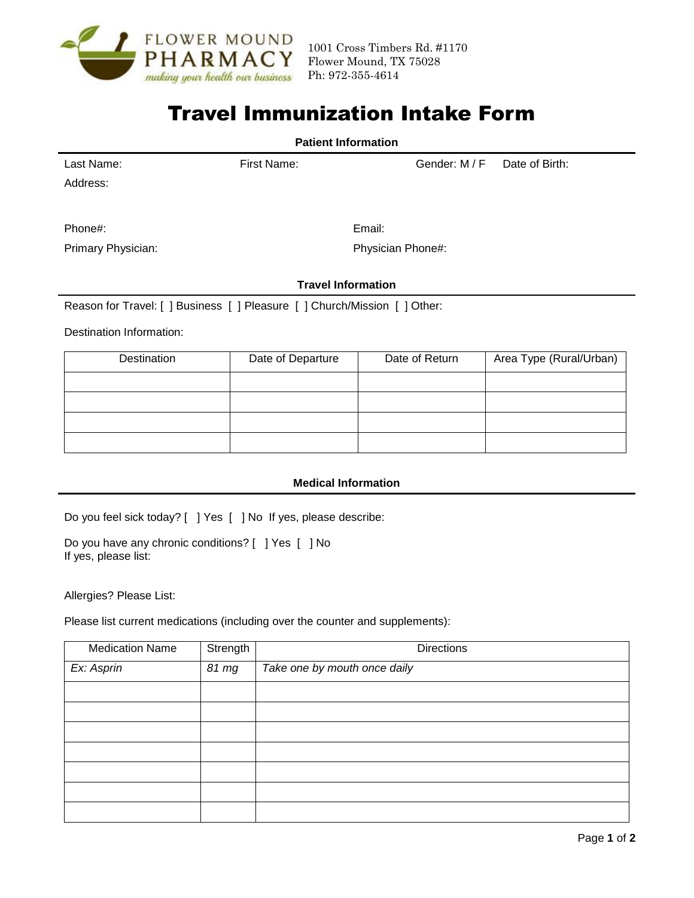

# Travel Immunization Intake Form

| <b>Patient Information</b> |             |                           |                |  |  |  |
|----------------------------|-------------|---------------------------|----------------|--|--|--|
| Last Name:                 | First Name: | Gender: M / F             | Date of Birth: |  |  |  |
| Address:                   |             |                           |                |  |  |  |
| Phone#:                    |             | Email:                    |                |  |  |  |
| Primary Physician:         |             | Physician Phone#:         |                |  |  |  |
|                            |             | <b>Travel Information</b> |                |  |  |  |

Reason for Travel: [ ] Business [ ] Pleasure [ ] Church/Mission [ ] Other:

Destination Information:

| Destination | Date of Departure | Date of Return | Area Type (Rural/Urban) |  |
|-------------|-------------------|----------------|-------------------------|--|
|             |                   |                |                         |  |
|             |                   |                |                         |  |
|             |                   |                |                         |  |
|             |                   |                |                         |  |

### **Medical Information**

Do you feel sick today? [ ] Yes [ ] No If yes, please describe:

Do you have any chronic conditions? [ ] Yes [ ] No If yes, please list:

Allergies? Please List:

Please list current medications (including over the counter and supplements):

| <b>Medication Name</b> | Strength | <b>Directions</b>            |
|------------------------|----------|------------------------------|
| Ex: Asprin             | 81 mg    | Take one by mouth once daily |
|                        |          |                              |
|                        |          |                              |
|                        |          |                              |
|                        |          |                              |
|                        |          |                              |
|                        |          |                              |
|                        |          |                              |